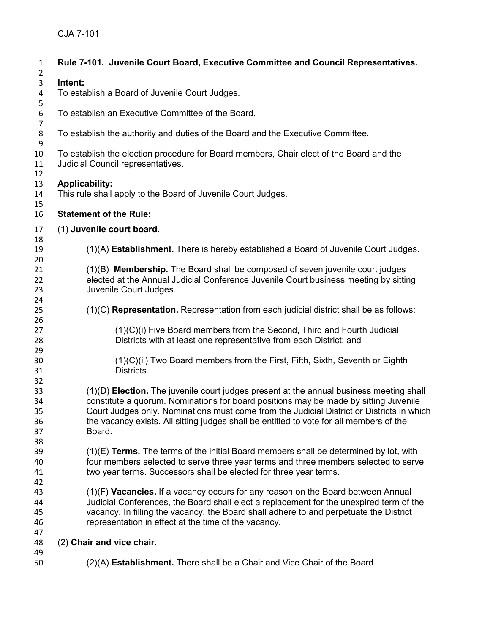| $\mathbf{1}$                     | Rule 7-101. Juvenile Court Board, Executive Committee and Council Representatives.                                                                                                                                                                                                                                                                                                |
|----------------------------------|-----------------------------------------------------------------------------------------------------------------------------------------------------------------------------------------------------------------------------------------------------------------------------------------------------------------------------------------------------------------------------------|
| $\overline{2}$<br>3              | Intent:                                                                                                                                                                                                                                                                                                                                                                           |
| 4<br>5                           | To establish a Board of Juvenile Court Judges.                                                                                                                                                                                                                                                                                                                                    |
| 6<br>$\overline{7}$              | To establish an Executive Committee of the Board.                                                                                                                                                                                                                                                                                                                                 |
| $\bf 8$<br>$\boldsymbol{9}$      | To establish the authority and duties of the Board and the Executive Committee.                                                                                                                                                                                                                                                                                                   |
| 10<br>11<br>12                   | To establish the election procedure for Board members, Chair elect of the Board and the<br>Judicial Council representatives.                                                                                                                                                                                                                                                      |
| 13<br>14<br>15                   | <b>Applicability:</b><br>This rule shall apply to the Board of Juvenile Court Judges.                                                                                                                                                                                                                                                                                             |
| 16                               | <b>Statement of the Rule:</b>                                                                                                                                                                                                                                                                                                                                                     |
| 17<br>18                         | (1) Juvenile court board.                                                                                                                                                                                                                                                                                                                                                         |
| 19<br>20                         | (1)(A) Establishment. There is hereby established a Board of Juvenile Court Judges.                                                                                                                                                                                                                                                                                               |
| 21<br>22<br>23<br>24             | (1)(B) Membership. The Board shall be composed of seven juvenile court judges<br>elected at the Annual Judicial Conference Juvenile Court business meeting by sitting<br>Juvenile Court Judges.                                                                                                                                                                                   |
| 25<br>26                         | (1)(C) Representation. Representation from each judicial district shall be as follows:                                                                                                                                                                                                                                                                                            |
| 27<br>28<br>29                   | (1)(C)(i) Five Board members from the Second, Third and Fourth Judicial<br>Districts with at least one representative from each District; and                                                                                                                                                                                                                                     |
| 30<br>31<br>32                   | (1)(C)(ii) Two Board members from the First, Fifth, Sixth, Seventh or Eighth<br>Districts.                                                                                                                                                                                                                                                                                        |
| 33<br>34<br>35<br>36<br>37<br>38 | (1)(D) Election. The juvenile court judges present at the annual business meeting shall<br>constitute a quorum. Nominations for board positions may be made by sitting Juvenile<br>Court Judges only. Nominations must come from the Judicial District or Districts in which<br>the vacancy exists. All sitting judges shall be entitled to vote for all members of the<br>Board. |
| 39<br>40<br>41<br>42             | $(1)(E)$ Terms. The terms of the initial Board members shall be determined by lot, with<br>four members selected to serve three year terms and three members selected to serve<br>two year terms. Successors shall be elected for three year terms.                                                                                                                               |
| 43<br>44<br>45<br>46             | (1)(F) Vacancies. If a vacancy occurs for any reason on the Board between Annual<br>Judicial Conferences, the Board shall elect a replacement for the unexpired term of the<br>vacancy. In filling the vacancy, the Board shall adhere to and perpetuate the District<br>representation in effect at the time of the vacancy.                                                     |
| 47<br>48                         | (2) Chair and vice chair.                                                                                                                                                                                                                                                                                                                                                         |
| 49<br>50                         | (2)(A) Establishment. There shall be a Chair and Vice Chair of the Board.                                                                                                                                                                                                                                                                                                         |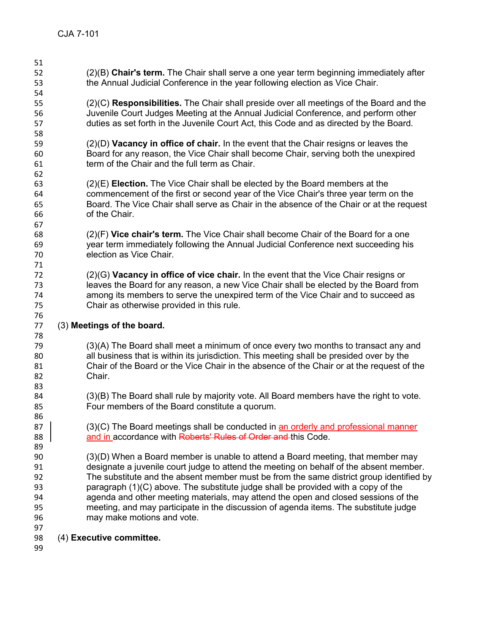- (2)(B) **Chair's term.** The Chair shall serve a one year term beginning immediately after the Annual Judicial Conference in the year following election as Vice Chair. (2)(C) **Responsibilities.** The Chair shall preside over all meetings of the Board and the Juvenile Court Judges Meeting at the Annual Judicial Conference, and perform other duties as set forth in the Juvenile Court Act, this Code and as directed by the Board. (2)(D) **Vacancy in office of chair.** In the event that the Chair resigns or leaves the Board for any reason, the Vice Chair shall become Chair, serving both the unexpired term of the Chair and the full term as Chair. (2)(E) **Election.** The Vice Chair shall be elected by the Board members at the commencement of the first or second year of the Vice Chair's three year term on the Board. The Vice Chair shall serve as Chair in the absence of the Chair or at the request of the Chair. (2)(F) **Vice chair's term.** The Vice Chair shall become Chair of the Board for a one year term immediately following the Annual Judicial Conference next succeeding his election as Vice Chair. (2)(G) **Vacancy in office of vice chair.** In the event that the Vice Chair resigns or leaves the Board for any reason, a new Vice Chair shall be elected by the Board from among its members to serve the unexpired term of the Vice Chair and to succeed as Chair as otherwise provided in this rule. (3) **Meetings of the board.** (3)(A) The Board shall meet a minimum of once every two months to transact any and all business that is within its jurisdiction. This meeting shall be presided over by the Chair of the Board or the Vice Chair in the absence of the Chair or at the request of the Chair. (3)(B) The Board shall rule by majority vote. All Board members have the right to vote. Four members of the Board constitute a quorum. 87 (3)(C) The Board meetings shall be conducted in an orderly and professional manner 88 **and in accordance with <del>Roberts' Rules of Order and</del> this Code.**  (3)(D) When a Board member is unable to attend a Board meeting, that member may designate a juvenile court judge to attend the meeting on behalf of the absent member. The substitute and the absent member must be from the same district group identified by paragraph (1)(C) above. The substitute judge shall be provided with a copy of the agenda and other meeting materials, may attend the open and closed sessions of the meeting, and may participate in the discussion of agenda items. The substitute judge may make motions and vote. (4) **Executive committee.**
-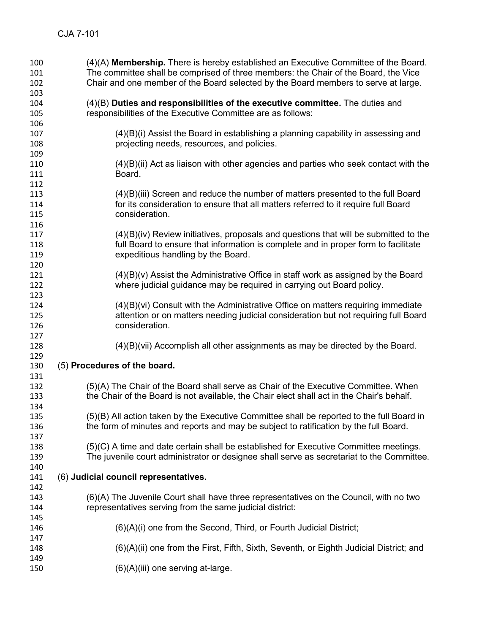| 100<br>101<br>102 | $(4)(A)$ Membership. There is hereby established an Executive Committee of the Board.<br>The committee shall be comprised of three members: the Chair of the Board, the Vice<br>Chair and one member of the Board selected by the Board members to serve at large. |
|-------------------|--------------------------------------------------------------------------------------------------------------------------------------------------------------------------------------------------------------------------------------------------------------------|
| 103<br>104        | $(4)(B)$ Duties and responsibilities of the executive committee. The duties and                                                                                                                                                                                    |
| 105               | responsibilities of the Executive Committee are as follows:                                                                                                                                                                                                        |
| 106<br>107        | $(4)(B)(i)$ Assist the Board in establishing a planning capability in assessing and                                                                                                                                                                                |
| 108               | projecting needs, resources, and policies.                                                                                                                                                                                                                         |
| 109               |                                                                                                                                                                                                                                                                    |
| 110<br>111        | $(4)(B)(ii)$ Act as liaison with other agencies and parties who seek contact with the<br>Board.                                                                                                                                                                    |
| 112               |                                                                                                                                                                                                                                                                    |
| 113               | (4)(B)(iii) Screen and reduce the number of matters presented to the full Board                                                                                                                                                                                    |
| 114               | for its consideration to ensure that all matters referred to it require full Board                                                                                                                                                                                 |
| 115<br>116        | consideration.                                                                                                                                                                                                                                                     |
| 117               | $(4)(B)(iv)$ Review initiatives, proposals and questions that will be submitted to the                                                                                                                                                                             |
| 118               | full Board to ensure that information is complete and in proper form to facilitate                                                                                                                                                                                 |
| 119               | expeditious handling by the Board.                                                                                                                                                                                                                                 |
| 120               |                                                                                                                                                                                                                                                                    |
| 121<br>122        | $(4)(B)(v)$ Assist the Administrative Office in staff work as assigned by the Board<br>where judicial guidance may be required in carrying out Board policy.                                                                                                       |
| 123               |                                                                                                                                                                                                                                                                    |
| 124               | (4)(B)(vi) Consult with the Administrative Office on matters requiring immediate                                                                                                                                                                                   |
| 125               | attention or on matters needing judicial consideration but not requiring full Board                                                                                                                                                                                |
| 126               | consideration.                                                                                                                                                                                                                                                     |
| 127<br>128        | $(4)(B)(vii)$ Accomplish all other assignments as may be directed by the Board.                                                                                                                                                                                    |
| 129               |                                                                                                                                                                                                                                                                    |
| 130               | (5) Procedures of the board.                                                                                                                                                                                                                                       |
| 131               |                                                                                                                                                                                                                                                                    |
| 132               | (5)(A) The Chair of the Board shall serve as Chair of the Executive Committee. When                                                                                                                                                                                |
| 133<br>134        | the Chair of the Board is not available, the Chair elect shall act in the Chair's behalf.                                                                                                                                                                          |
| 135               | (5)(B) All action taken by the Executive Committee shall be reported to the full Board in                                                                                                                                                                          |
| 136               | the form of minutes and reports and may be subject to ratification by the full Board.                                                                                                                                                                              |
| 137               |                                                                                                                                                                                                                                                                    |
| 138               | (5)(C) A time and date certain shall be established for Executive Committee meetings.                                                                                                                                                                              |
| 139               | The juvenile court administrator or designee shall serve as secretariat to the Committee.                                                                                                                                                                          |
| 140<br>141        | (6) Judicial council representatives.                                                                                                                                                                                                                              |
| 142               |                                                                                                                                                                                                                                                                    |
| 143               | (6)(A) The Juvenile Court shall have three representatives on the Council, with no two                                                                                                                                                                             |
| 144               | representatives serving from the same judicial district:                                                                                                                                                                                                           |
| 145               |                                                                                                                                                                                                                                                                    |
| 146<br>147        | $(6)(A)(i)$ one from the Second, Third, or Fourth Judicial District;                                                                                                                                                                                               |
| 148               | (6)(A)(ii) one from the First, Fifth, Sixth, Seventh, or Eighth Judicial District; and                                                                                                                                                                             |
| 149               |                                                                                                                                                                                                                                                                    |
| 150               | (6)(A)(iii) one serving at-large.                                                                                                                                                                                                                                  |